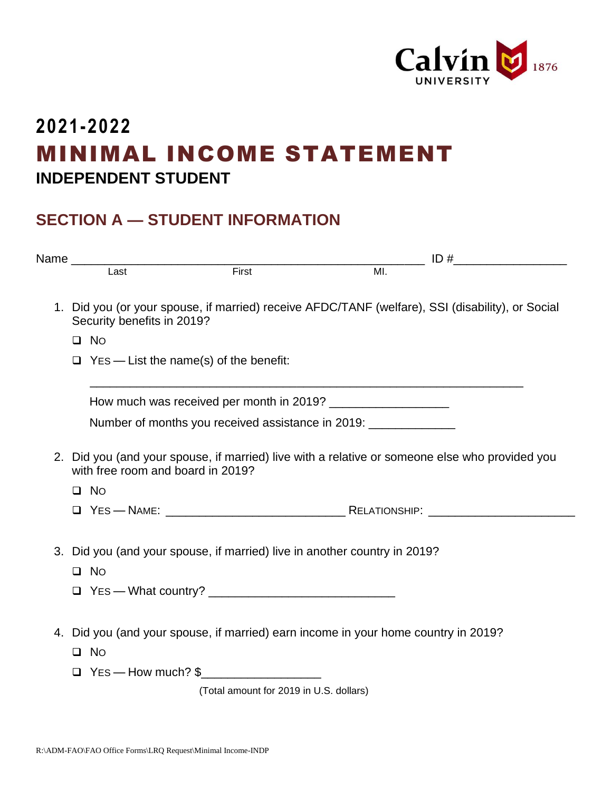

## **2021-2022** MINIMAL INCOME STATEMENT **INDEPENDENT STUDENT**

## **SECTION A — STUDENT INFORMATION**

|                                         | Name Last Eirst Eirst                                                                                                               |  |                |  |  |  |  |
|-----------------------------------------|-------------------------------------------------------------------------------------------------------------------------------------|--|----------------|--|--|--|--|
|                                         |                                                                                                                                     |  | $\overline{M}$ |  |  |  |  |
|                                         | 1. Did you (or your spouse, if married) receive AFDC/TANF (welfare), SSI (disability), or Social<br>Security benefits in 2019?      |  |                |  |  |  |  |
|                                         | $\square$ No                                                                                                                        |  |                |  |  |  |  |
|                                         |                                                                                                                                     |  |                |  |  |  |  |
|                                         | <u> 1980 - Johann Stoff, amerikansk politiker (d. 1980)</u>                                                                         |  |                |  |  |  |  |
|                                         | Number of months you received assistance in 2019: _____________                                                                     |  |                |  |  |  |  |
|                                         | 2. Did you (and your spouse, if married) live with a relative or someone else who provided you<br>with free room and board in 2019? |  |                |  |  |  |  |
|                                         | $\Box$ No                                                                                                                           |  |                |  |  |  |  |
|                                         |                                                                                                                                     |  |                |  |  |  |  |
|                                         | 3. Did you (and your spouse, if married) live in another country in 2019?<br>$\square$ No                                           |  |                |  |  |  |  |
|                                         |                                                                                                                                     |  |                |  |  |  |  |
|                                         | 4. Did you (and your spouse, if married) earn income in your home country in 2019?<br>$\Box$ No                                     |  |                |  |  |  |  |
|                                         | $\Box$ Yes — How much? \$                                                                                                           |  |                |  |  |  |  |
| (Total amount for 2019 in U.S. dollars) |                                                                                                                                     |  |                |  |  |  |  |